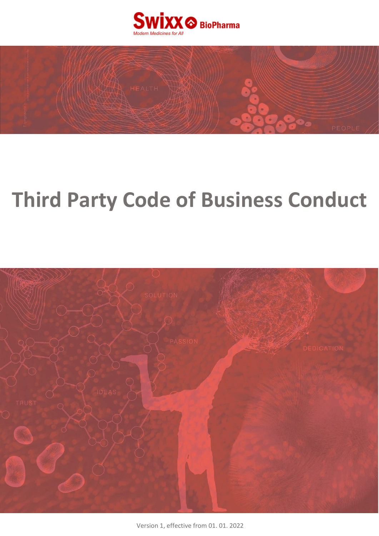



# **Third Party Code of Business Conduct**



Version 1, effective from 01. 01. 2022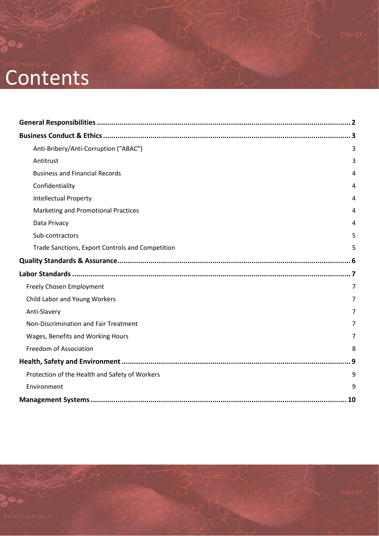# **Contents**

 $\bullet$ 

|  | Anti-Bribery/Anti-Corruption ("ABAC")<br>3       |                |
|--|--------------------------------------------------|----------------|
|  |                                                  |                |
|  | Antitrust                                        | 3              |
|  | <b>Business and Financial Records</b>            | 4              |
|  | Confidentiality                                  | 4              |
|  | <b>Intellectual Property</b>                     | 4              |
|  | Marketing and Promotional Practices              | 4              |
|  | Data Privacy                                     | 4              |
|  | Sub-contractors                                  | 5              |
|  | Trade Sanctions, Export Controls and Competition | 5              |
|  |                                                  |                |
|  |                                                  |                |
|  | Freely Chosen Employment                         | $\overline{7}$ |
|  | Child Labor and Young Workers                    | $\overline{7}$ |
|  | Anti-Slavery                                     | $\overline{7}$ |
|  | Non-Discrimination and Fair Treatment            | 7              |
|  | Wages, Benefits and Working Hours                | $\overline{7}$ |
|  | Freedom of Association                           | 8              |
|  |                                                  |                |
|  | Protection of the Health and Safety of Workers   | 9              |
|  | Environment                                      | 9              |
|  |                                                  |                |
|  |                                                  |                |

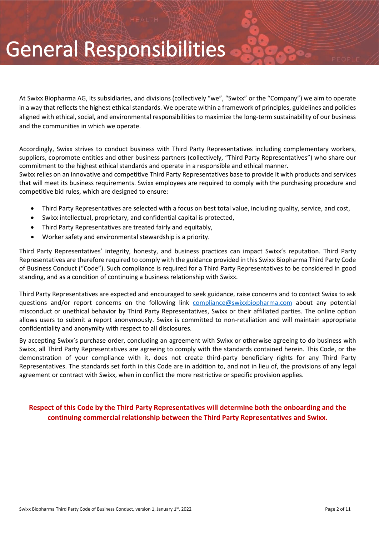# General Responsibilities

At Swixx Biopharma AG, its subsidiaries, and divisions (collectively "we", "Swixx" or the "Company") we aim to operate in a way that reflects the highest ethical standards. We operate within a framework of principles, guidelines and policies aligned with ethical, social, and environmental responsibilities to maximize the long-term sustainability of our business and the communities in which we operate.

Accordingly, Swixx strives to conduct business with Third Party Representatives including complementary workers, suppliers, copromote entities and other business partners (collectively, "Third Party Representatives") who share our commitment to the highest ethical standards and operate in a responsible and ethical manner.

Swixx relies on an innovative and competitive Third Party Representatives base to provide it with products and services that will meet its business requirements. Swixx employees are required to comply with the purchasing procedure and competitive bid rules, which are designed to ensure:

- Third Party Representatives are selected with a focus on best total value, including quality, service, and cost,
- Swixx intellectual, proprietary, and confidential capital is protected,
- Third Party Representatives are treated fairly and equitably,
- Worker safety and environmental stewardship is a priority.

Third Party Representatives' integrity, honesty, and business practices can impact Swixx's reputation. Third Party Representatives are therefore required to comply with the guidance provided in this Swixx Biopharma Third Party Code of Business Conduct ("Code"). Such compliance is required for a Third Party Representatives to be considered in good standing, and as a condition of continuing a business relationship with Swixx.

Third Party Representatives are expected and encouraged to seek guidance, raise concerns and to contact Swixx to ask questions and/or report concerns on the following link [compliance@swixxbiopharma.com](mailto:compliance@swixxbiopharma.com) about any potential misconduct or unethical behavior by Third Party Representatives, Swixx or their affiliated parties. The online option allows users to submit a report anonymously. Swixx is committed to non-retaliation and will maintain appropriate confidentiality and anonymity with respect to all disclosures.

By accepting Swixx's purchase order, concluding an agreement with Swixx or otherwise agreeing to do business with Swixx, all Third Party Representatives are agreeing to comply with the standards contained herein. This Code, or the demonstration of your compliance with it, does not create third-party beneficiary rights for any Third Party Representatives. The standards set forth in this Code are in addition to, and not in lieu of, the provisions of any legal agreement or contract with Swixx, when in conflict the more restrictive or specific provision applies.

#### **Respect of this Code by the Third Party Representatives will determine both the onboarding and the continuing commercial relationship between the Third Party Representatives and Swixx.**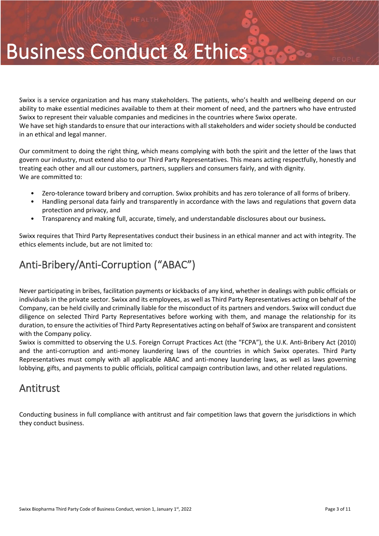# Business Conduct & Ethics

Swixx is a service organization and has many stakeholders. The patients, who's health and wellbeing depend on our ability to make essential medicines available to them at their moment of need, and the partners who have entrusted Swixx to represent their valuable companies and medicines in the countries where Swixx operate. We have set high standards to ensure that our interactions with all stakeholders and wider society should be conducted in an ethical and legal manner.

Our commitment to doing the right thing, which means complying with both the spirit and the letter of the laws that govern our industry, must extend also to our Third Party Representatives. This means acting respectfully, honestly and treating each other and all our customers, partners, suppliers and consumers fairly, and with dignity. We are committed to:

- Zero-tolerance toward bribery and corruption. Swixx prohibits and has zero tolerance of all forms of bribery.
- Handling personal data fairly and transparently in accordance with the laws and regulations that govern data protection and privacy, and
- Transparency and making full, accurate, timely, and understandable disclosures about our business**.**

Swixx requires that Third Party Representatives conduct their business in an ethical manner and act with integrity. The ethics elements include, but are not limited to:

## <span id="page-3-0"></span>Anti-Bribery/Anti-Corruption ("ABAC")

Never participating in bribes, facilitation payments or kickbacks of any kind, whether in dealings with public officials or individuals in the private sector. Swixx and its employees, as well as Third Party Representatives acting on behalf of the Company, can be held civilly and criminally liable for the misconduct of its partners and vendors. Swixx will conduct due diligence on selected Third Party Representatives before working with them, and manage the relationship for its duration, to ensure the activities of Third Party Representatives acting on behalf of Swixx are transparent and consistent with the Company policy.

Swixx is committed to observing the U.S. Foreign Corrupt Practices Act (the "FCPA"), the U.K. Anti-Bribery Act (2010) and the anti-corruption and anti-money laundering laws of the countries in which Swixx operates. Third Party Representatives must comply with all applicable ABAC and anti-money laundering laws, as well as laws governing lobbying, gifts, and payments to public officials, political campaign contribution laws, and other related regulations.

#### <span id="page-3-1"></span>Antitrust

Conducting business in full compliance with antitrust and fair competition laws that govern the jurisdictions in which they conduct business.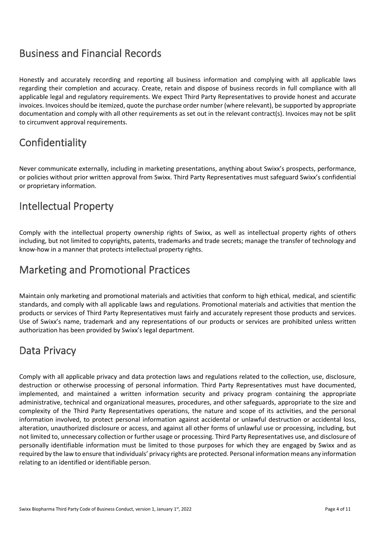### <span id="page-4-0"></span>Business and Financial Records

Honestly and accurately recording and reporting all business information and complying with all applicable laws regarding their completion and accuracy. Create, retain and dispose of business records in full compliance with all applicable legal and regulatory requirements. We expect Third Party Representatives to provide honest and accurate invoices. Invoices should be itemized, quote the purchase order number (where relevant), be supported by appropriate documentation and comply with all other requirements as set out in the relevant contract(s). Invoices may not be split to circumvent approval requirements.

# <span id="page-4-1"></span>**Confidentiality**

Never communicate externally, including in marketing presentations, anything about Swixx's prospects, performance, or policies without prior written approval from Swixx. Third Party Representatives must safeguard Swixx's confidential or proprietary information.

### <span id="page-4-2"></span>Intellectual Property

Comply with the intellectual property ownership rights of Swixx, as well as intellectual property rights of others including, but not limited to copyrights, patents, trademarks and trade secrets; manage the transfer of technology and know-how in a manner that protects intellectual property rights.

### <span id="page-4-3"></span>Marketing and Promotional Practices

Maintain only marketing and promotional materials and activities that conform to high ethical, medical, and scientific standards, and comply with all applicable laws and regulations. Promotional materials and activities that mention the products or services of Third Party Representatives must fairly and accurately represent those products and services. Use of Swixx's name, trademark and any representations of our products or services are prohibited unless written authorization has been provided by Swixx's legal department.

### <span id="page-4-4"></span>Data Privacy

Comply with all applicable privacy and data protection laws and regulations related to the collection, use, disclosure, destruction or otherwise processing of personal information. Third Party Representatives must have documented, implemented, and maintained a written information security and privacy program containing the appropriate administrative, technical and organizational measures, procedures, and other safeguards, appropriate to the size and complexity of the Third Party Representatives operations, the nature and scope of its activities, and the personal information involved, to protect personal information against accidental or unlawful destruction or accidental loss, alteration, unauthorized disclosure or access, and against all other forms of unlawful use or processing, including, but not limited to, unnecessary collection or further usage or processing. Third Party Representatives use, and disclosure of personally identifiable information must be limited to those purposes for which they are engaged by Swixx and as required by the law to ensure that individuals' privacy rights are protected. Personal information means any information relating to an identified or identifiable person.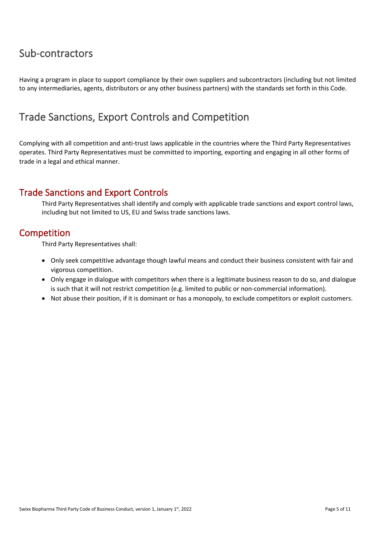### <span id="page-5-0"></span>Sub-contractors

Having a program in place to support compliance by their own suppliers and subcontractors (including but not limited to any intermediaries, agents, distributors or any other business partners) with the standards set forth in this Code.

### <span id="page-5-1"></span>Trade Sanctions, Export Controls and Competition

Complying with all competition and anti-trust laws applicable in the countries where the Third Party Representatives operates. Third Party Representatives must be committed to importing, exporting and engaging in all other forms of trade in a legal and ethical manner.

#### Trade Sanctions and Export Controls

Third Party Representatives shall identify and comply with applicable trade sanctions and export control laws, including but not limited to US, EU and Swiss trade sanctions laws.

#### Competition

Third Party Representatives shall:

- Only seek competitive advantage though lawful means and conduct their business consistent with fair and vigorous competition.
- Only engage in dialogue with competitors when there is a legitimate business reason to do so, and dialogue is such that it will not restrict competition (e.g. limited to public or non-commercial information).
- Not abuse their position, if it is dominant or has a monopoly, to exclude competitors or exploit customers.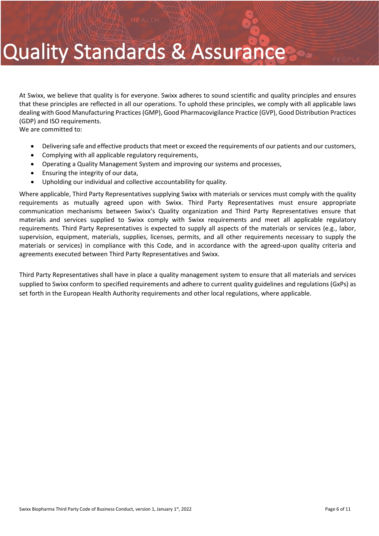# Quality Standards & Assurance

At Swixx, we believe that quality is for everyone. Swixx adheres to sound scientific and quality principles and ensures that these principles are reflected in all our operations. To uphold these principles, we comply with all applicable laws dealing with Good Manufacturing Practices (GMP), Good Pharmacovigilance Practice (GVP), Good Distribution Practices (GDP) and ISO requirements.

We are committed to:

- Delivering safe and effective products that meet or exceed the requirements of our patients and our customers,
- Complying with all applicable regulatory requirements,
- Operating a Quality Management System and improving our systems and processes,
- Ensuring the integrity of our data,
- Upholding our individual and collective accountability for quality.

Where applicable, Third Party Representatives supplying Swixx with materials or services must comply with the quality requirements as mutually agreed upon with Swixx. Third Party Representatives must ensure appropriate communication mechanisms between Swixx's Quality organization and Third Party Representatives ensure that materials and services supplied to Swixx comply with Swixx requirements and meet all applicable regulatory requirements. Third Party Representatives is expected to supply all aspects of the materials or services (e.g., labor, supervision, equipment, materials, supplies, licenses, permits, and all other requirements necessary to supply the materials or services) in compliance with this Code, and in accordance with the agreed-upon quality criteria and agreements executed between Third Party Representatives and Swixx.

Third Party Representatives shall have in place a quality management system to ensure that all materials and services supplied to Swixx conform to specified requirements and adhere to current quality guidelines and regulations (GxPs) as set forth in the European Health Authority requirements and other local regulations, where applicable.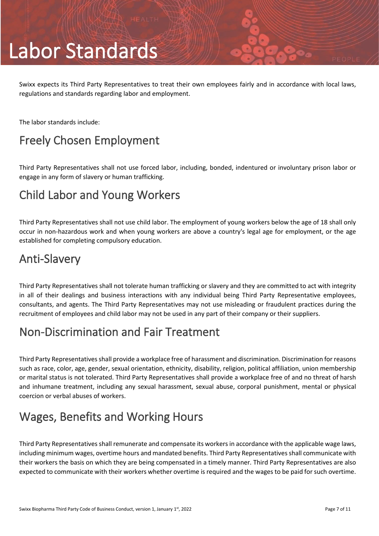# Labor Standards

Swixx expects its Third Party Representatives to treat their own employees fairly and in accordance with local laws, regulations and standards regarding labor and employment.

The labor standards include:

# <span id="page-7-0"></span>Freely Chosen Employment

Third Party Representatives shall not use forced labor, including, bonded, indentured or involuntary prison labor or engage in any form of slavery or human trafficking.

# <span id="page-7-1"></span>Child Labor and Young Workers

Third Party Representatives shall not use child labor. The employment of young workers below the age of 18 shall only occur in non-hazardous work and when young workers are above a country's legal age for employment, or the age established for completing compulsory education.

# <span id="page-7-2"></span>Anti-Slavery

Third Party Representatives shall not tolerate human trafficking or slavery and they are committed to act with integrity in all of their dealings and business interactions with any individual being Third Party Representative employees, consultants, and agents. The Third Party Representatives may not use misleading or fraudulent practices during the recruitment of employees and child labor may not be used in any part of their company or their suppliers.

# <span id="page-7-3"></span>Non-Discrimination and Fair Treatment

Third Party Representatives shall provide a workplace free of harassment and discrimination. Discrimination for reasons such as race, color, age, gender, sexual orientation, ethnicity, disability, religion, political affiliation, union membership or marital status is not tolerated. Third Party Representatives shall provide a workplace free of and no threat of harsh and inhumane treatment, including any sexual harassment, sexual abuse, corporal punishment, mental or physical coercion or verbal abuses of workers.

# <span id="page-7-4"></span>Wages, Benefits and Working Hours

Third Party Representatives shall remunerate and compensate its workers in accordance with the applicable wage laws, including minimum wages, overtime hours and mandated benefits. Third Party Representatives shall communicate with their workers the basis on which they are being compensated in a timely manner. Third Party Representatives are also expected to communicate with their workers whether overtime is required and the wages to be paid for such overtime.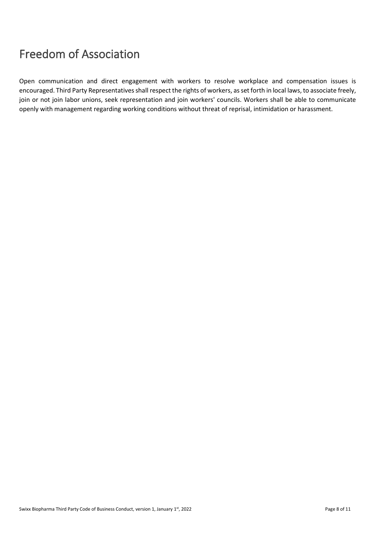# <span id="page-8-0"></span>Freedom of Association

Open communication and direct engagement with workers to resolve workplace and compensation issues is encouraged. Third Party Representatives shall respect the rights of workers, as set forth in local laws, to associate freely, join or not join labor unions, seek representation and join workers' councils. Workers shall be able to communicate openly with management regarding working conditions without threat of reprisal, intimidation or harassment.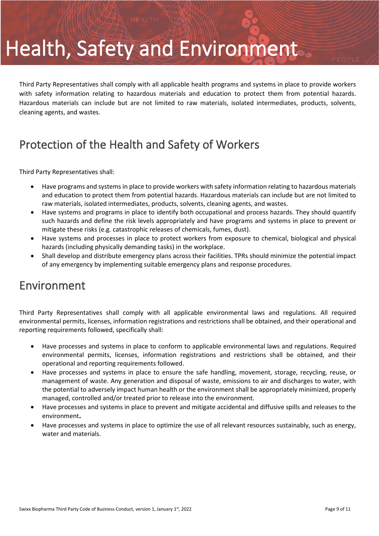# Health, Safety and Environment

Third Party Representatives shall comply with all applicable health programs and systems in place to provide workers with safety information relating to hazardous materials and education to protect them from potential hazards. Hazardous materials can include but are not limited to raw materials, isolated intermediates, products, solvents, cleaning agents, and wastes.

# <span id="page-9-0"></span>Protection of the Health and Safety of Workers

Third Party Representatives shall:

- Have programs and systems in place to provide workers with safety information relating to hazardous materials and education to protect them from potential hazards. Hazardous materials can include but are not limited to raw materials, isolated intermediates, products, solvents, cleaning agents, and wastes.
- Have systems and programs in place to identify both occupational and process hazards. They should quantify such hazards and define the risk levels appropriately and have programs and systems in place to prevent or mitigate these risks (e.g. catastrophic releases of chemicals, fumes, dust).
- Have systems and processes in place to protect workers from exposure to chemical, biological and physical hazards (including physically demanding tasks) in the workplace.
- Shall develop and distribute emergency plans across their facilities. TPRs should minimize the potential impact of any emergency by implementing suitable emergency plans and response procedures.

## <span id="page-9-1"></span>Environment

Third Party Representatives shall comply with all applicable environmental laws and regulations. All required environmental permits, licenses, information registrations and restrictions shall be obtained, and their operational and reporting requirements followed, specifically shall:

- Have processes and systems in place to conform to applicable environmental laws and regulations. Required environmental permits, licenses, information registrations and restrictions shall be obtained, and their operational and reporting requirements followed.
- Have processes and systems in place to ensure the safe handling, movement, storage, recycling, reuse, or management of waste. Any generation and disposal of waste, emissions to air and discharges to water, with the potential to adversely impact human health or the environment shall be appropriately minimized, properly managed, controlled and/or treated prior to release into the environment.
- Have processes and systems in place to prevent and mitigate accidental and diffusive spills and releases to the environment**.**
- Have processes and systems in place to optimize the use of all relevant resources sustainably, such as energy, water and materials.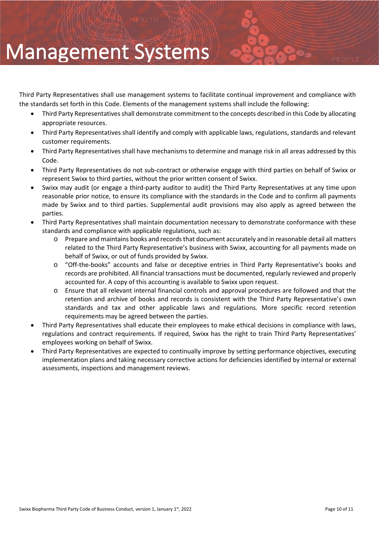# Management Systems

Third Party Representatives shall use management systems to facilitate continual improvement and compliance with the standards set forth in this Code. Elements of the management systems shall include the following:

- Third Party Representatives shall demonstrate commitment to the concepts described in this Code by allocating appropriate resources.
- Third Party Representatives shall identify and comply with applicable laws, regulations, standards and relevant customer requirements.
- Third Party Representatives shall have mechanisms to determine and manage risk in all areas addressed by this Code.
- Third Party Representatives do not sub-contract or otherwise engage with third parties on behalf of Swixx or represent Swixx to third parties, without the prior written consent of Swixx.
- Swixx may audit (or engage a third-party auditor to audit) the Third Party Representatives at any time upon reasonable prior notice, to ensure its compliance with the standards in the Code and to confirm all payments made by Swixx and to third parties. Supplemental audit provisions may also apply as agreed between the parties.
- Third Party Representatives shall maintain documentation necessary to demonstrate conformance with these standards and compliance with applicable regulations, such as:
	- Prepare and maintains books and records that document accurately and in reasonable detail all matters related to the Third Party Representative's business with Swixx, accounting for all payments made on behalf of Swixx, or out of funds provided by Swixx.
	- o "Off-the-books" accounts and false or deceptive entries in Third Party Representative's books and records are prohibited. All financial transactions must be documented, regularly reviewed and properly accounted for. A copy of this accounting is available to Swixx upon request.
	- o Ensure that all relevant internal financial controls and approval procedures are followed and that the retention and archive of books and records is consistent with the Third Party Representative's own standards and tax and other applicable laws and regulations. More specific record retention requirements may be agreed between the parties.
- Third Party Representatives shall educate their employees to make ethical decisions in compliance with laws, regulations and contract requirements. If required, Swixx has the right to train Third Party Representatives' employees working on behalf of Swixx.
- Third Party Representatives are expected to continually improve by setting performance objectives, executing implementation plans and taking necessary corrective actions for deficiencies identified by internal or external assessments, inspections and management reviews.